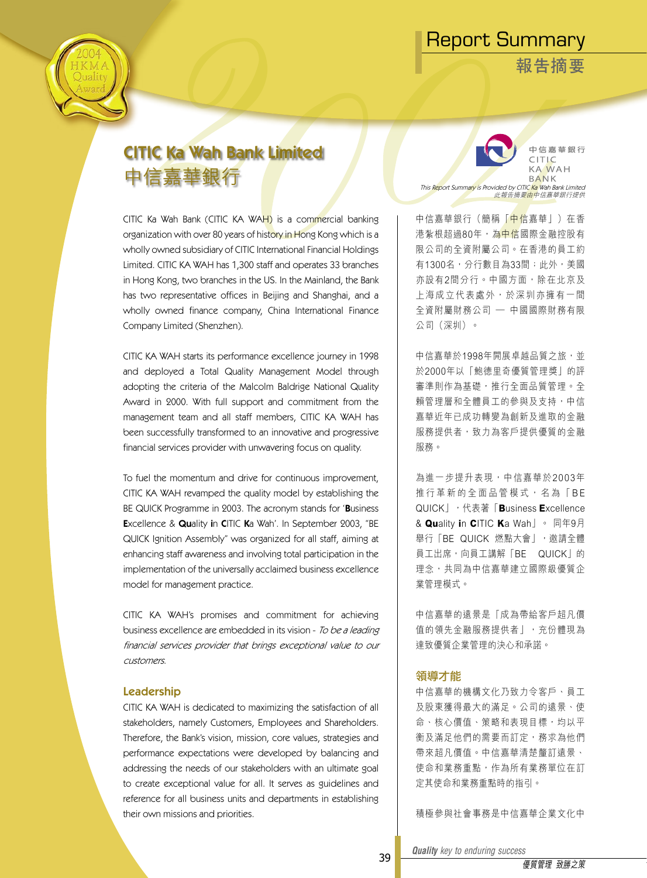**報告摘要**



# CITIC Ka Wah Bank Limited 中信嘉華銀行  $T$  This Report Summary is Provided by CITIC Ka WA H

CITIC Ka Wah Bank (CITIC KA WAH) is a commercial banking organization with over 80 years of history in Hong Kong which is a wholly owned subsidiary of CITIC International Financial Holdings Limited. CITIC KA WAH has 1,300 staff and operates 33 branches in Hong Kong, two branches in the US. In the Mainland, the Bank has two representative offices in Beijing and Shanghai, and a wholly owned finance company, China International Finance Company Limited (Shenzhen).

CITIC KA WAH starts its performance excellence journey in 1998 and deployed a Total Quality Management Model through adopting the criteria of the Malcolm Baldrige National Quality Award in 2000. With full support and commitment from the management team and all staff members, CITIC KA WAH has been successfully transformed to an innovative and progressive financial services provider with unwavering focus on quality.

To fuel the momentum and drive for continuous improvement, CITIC KA WAH revamped the quality model by establishing the BE QUICK Programme in 2003. The acronym stands for 'Business Excellence & Quality in CITIC Ka Wah'. In September 2003, "BE QUICK Ignition Assembly" was organized for all staff, aiming at enhancing staff awareness and involving total participation in the implementation of the universally acclaimed business excellence model for management practice.

CITIC KA WAH's promises and commitment for achieving business excellence are embedded in its vision - To be a leading financial services provider that brings exceptional value to our customers.

#### Leadership

CITIC KA WAH is dedicated to maximizing the satisfaction of all stakeholders, namely Customers, Employees and Shareholders. Therefore, the Bank's vision, mission, core values, strategies and performance expectations were developed by balancing and addressing the needs of our stakeholders with an ultimate goal to create exceptional value for all. It serves as guidelines and reference for all business units and departments in establishing their own missions and priorities.

中信嘉華銀行 CITLC 此報告摘要由中信嘉華銀行提供

中信嘉華銀行(簡稱「<mark>中信</mark>嘉華」)在香 港紮根超過80年,為中信國際金融控股有 限公司的全資附屬公司。在香港的員工約 有1300名,分行數目為33間;此外,美國 亦設有2間分行。中國方面,除在北京及 上 海 成 立 代 表 處 外 , 於 深 圳 亦 擁 有 一 間 全資附屬財務公司 — 中國國際財務有限 公司(深圳)。

中信嘉華於1998年開展卓越品質之旅,並 於2000年以「鮑德里奇優質管理獎」的評 審準則作為基礎,推行全面品質管理。全 賴管理層和全體員工的參與及支持,中信 嘉華近年已成功轉變為創新及進取的金融 服務提供者,致力為客戶提供優質的金融 服務。

為進一步提升表現,中信嘉華於2003年 推 行 革 新 的 全 面 品 管 模 式 , 名 為 「 B E QUICK」,代表著「**B**usiness **E**xcellence & **Qu**ality **i**n **C**ITIC **K**a Wah」。 同年9月 舉行「BE QUICK 燃點大會」,激請全體 員工出席,向員工講解「BE QUICK」的 理念,共同為中信嘉華建立國際級優質企 業管理模式。

中信嘉華的遠景是「成為帶給客戶超凡價 值的領先金融服務提供者」,充份體現為 達致優質企業管理的決心和承諾。

#### 領導才能

中信嘉華的機構文化乃致力令客戶、員工 及股東獲得最大的滿足。公司的遠景、使 命、核心價值、策略和表現目標,均以平 衡及滿足他們的需要而訂定,務求為他們 帶來超凡價值。中信嘉華清楚釐訂遠景、 使命和業務重點,作為所有業務單位在訂 定其使命和業務重點時的指引。

積極參與社會事務是中信嘉華企業文化中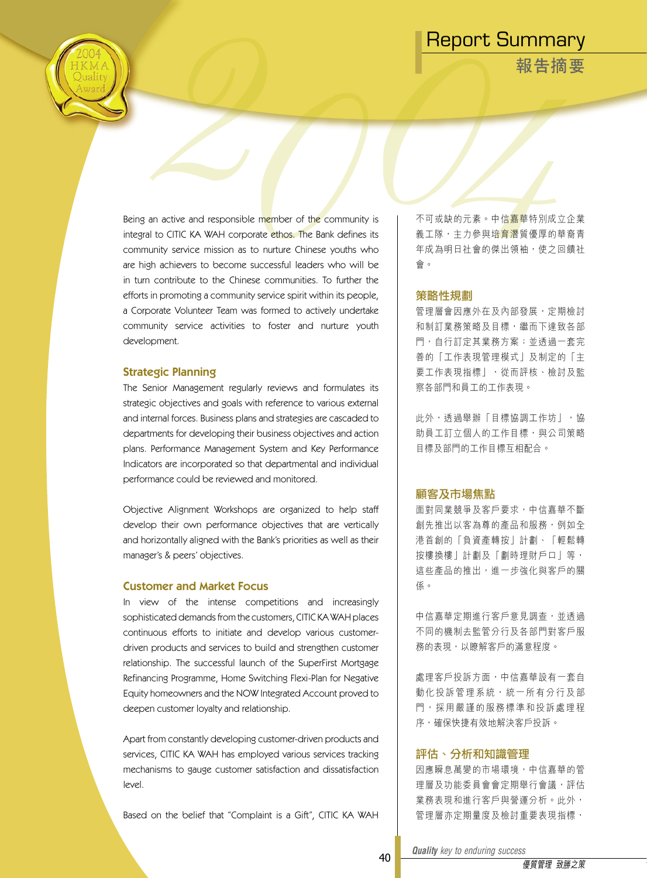**報告摘要**

Being an active and responsible member of the community is integral to CITIC KA WAH corporate ethos. The Bank defines its community service mission as to nurture Chinese youths who are high achievers to become successful leaders who will be in turn contribute to the Chinese communities. To further the efforts in promoting a community service spirit within its people, a Corporate Volunteer Team was formed to actively undertake community service activities to foster and nurture youth development.

#### Strategic Planning

The Senior Management regularly reviews and formulates its strategic objectives and goals with reference to various external and internal forces. Business plans and strategies are cascaded to departments for developing their business objectives and action plans. Performance Management System and Key Performance Indicators are incorporated so that departmental and individual performance could be reviewed and monitored.

Objective Alignment Workshops are organized to help staff develop their own performance objectives that are vertically and horizontally aligned with the Bank's priorities as well as their manager's & peers' objectives.

#### Customer and Market Focus

In view of the intense competitions and increasingly sophisticated demands from the customers, CITIC KA WAH places continuous efforts to initiate and develop various customerdriven products and services to build and strengthen customer relationship. The successful launch of the SuperFirst Mortgage Refinancing Programme, Home Switching Flexi-Plan for Negative Equity homeowners and the NOW Integrated Account proved to deepen customer loyalty and relationship.

Apart from constantly developing customer-driven products and services, CITIC KA WAH has employed various services tracking mechanisms to gauge customer satisfaction and dissatisfaction level.

Based on the belief that "Complaint is a Gift", CITIC KA WAH

不可或缺的元素。中信嘉華特別成立企業 義工隊,主力參與培<mark>音潛</mark>質優厚的華裔青 年成為明日社會的傑出領袖,使之回饋社 會。

#### 策略性規劃

管理層會因應外在及內部發展,定期檢討 和制訂業務策略及目標,繼而下達致各部 門,自行訂定其業務方案;並透過一套完 善的「工作表現管理模式」及制定的「主 要工作表現指標」,從而評核、檢討及監 察各部門和員工的工作表現。

此外,透過舉辦「目標協調工作坊」,協 助員工訂立個人的工作目標,與公司策略 目標及部門的工作目標互相配合。

#### 顧客及市場焦點

面對同業競爭及客戶要求,中信嘉華不斷 創先推出以客為尊的產品和服務,例如全 港首創的「負資產轉按」計劃、「輕鬆轉 按樓換樓」計劃及「劃時理財戶口」等, 這些產品的推出,進一步強化與客戶的關 係。

中信嘉華定期進行客戶意見調查,並透過 不同的機制去監管分行及各部門對客戶服 務的表現,以瞭解客戶的滿意程度。

處理客戶投訴方面,中信嘉華設有一套自 動化投訴管理系統,統一所有分行及部 門, 採用嚴謹的服務標準和投訴處理程 序,確保快捷有效地解決客戶投訴。

#### 評估、分析和知識管理

因應瞬息萬變的市場環境,中信嘉華的管 理層及功能委員會會定期舉行會議,評估 業務表現和進行客戶與營運分析。此外, 管理層亦定期量度及檢討重要表現指標,

*Quality key to enduring success Quality key to enduring success*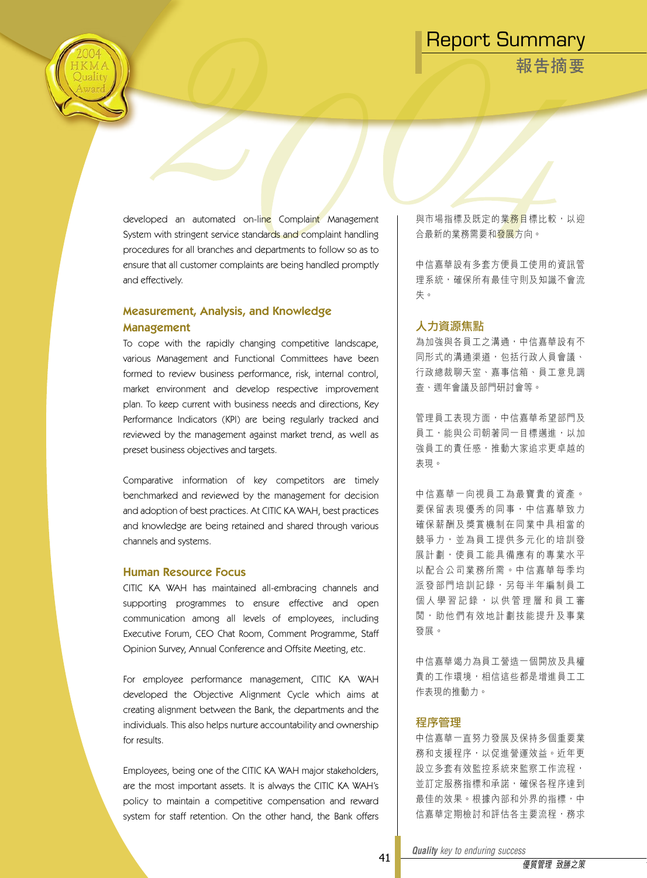**報告摘要**

developed an automated on-line Complaint Management System with stringent service standards and complaint handling procedures for all branches and departments to follow so as to ensure that all customer complaints are being handled promptly and effectively.

### Measurement, Analysis, and Knowledge Management

To cope with the rapidly changing competitive landscape, various Management and Functional Committees have been formed to review business performance, risk, internal control, market environment and develop respective improvement plan. To keep current with business needs and directions, Key Performance Indicators (KPI) are being regularly tracked and reviewed by the management against market trend, as well as preset business objectives and targets.

Comparative information of key competitors are timely benchmarked and reviewed by the management for decision and adoption of best practices. At CITIC KA WAH, best practices and knowledge are being retained and shared through various channels and systems.

#### Human Resource Focus

CITIC KA WAH has maintained all-embracing channels and supporting programmes to ensure effective and open communication among all levels of employees, including Executive Forum, CEO Chat Room, Comment Programme, Staff Opinion Survey, Annual Conference and Offsite Meeting, etc.

For employee performance management, CITIC KA WAH developed the Objective Alignment Cycle which aims at creating alignment between the Bank, the departments and the individuals. This also helps nurture accountability and ownership for results.

Employees, being one of the CITIC KA WAH major stakeholders, are the most important assets. It is always the CITIC KA WAH's policy to maintain a competitive compensation and reward system for staff retention. On the other hand, the Bank offers 與市場指標及既定的業<mark>務目</mark>標比較,以迎 合最新的業務需要和發展方向。

中信嘉華設有多套方便員工使用的資訊管 理系統,確保所有最佳守則及知識不會流 失。

#### 人力資源焦點

為加強與各員工之溝通,中信嘉華設有不 同形式的溝通渠道,包括行政人員會議、 行政總裁聊天室、嘉事信箱、員工意見調 查、週年會議及部門研討會等。

管理員工表現方面,中信嘉華希望部門及 員工,能與公司朝著同一目標邁進,以加 強員工的責任感,推動大家追求更卓越的 表現。

中 信 嘉 華 一 向 視 員 工 為 最 寶 貴 的 資 產 。 要保留表現優秀的同事,中信嘉華致力 確保薪酬及獎賞機制在同業中具相當的 競爭力,並為員工提供多元化的培訓發 展計劃,使員工能具備應有的專業水平 以配合公司業務所需。中信嘉華每季均 派發部門培訓記錄,另每半年編制員工 個人學習記錄, 以供管理層和員工審 閱 , 助 他 們 有 效 地 計 劃 技 能 提 升 及 事 業 發展。

中信嘉華竭力為員工營造一個開放及具權 責的工作環境,相信這些都是增進員工工 作表現的推動力。

#### 程序管理

中信嘉華一直努力發展及保持多個重要業 務和支援程序,以促進營運效益。近年更 設立多套有效監控系統來監察工作流程, 並訂定服務指標和承諾,確保各程序達到 最佳的效果。根據內部和外界的指標,中 信嘉華定期檢討和評估各主要流程,務求

*Quality key to enduring success Quality key to enduring success*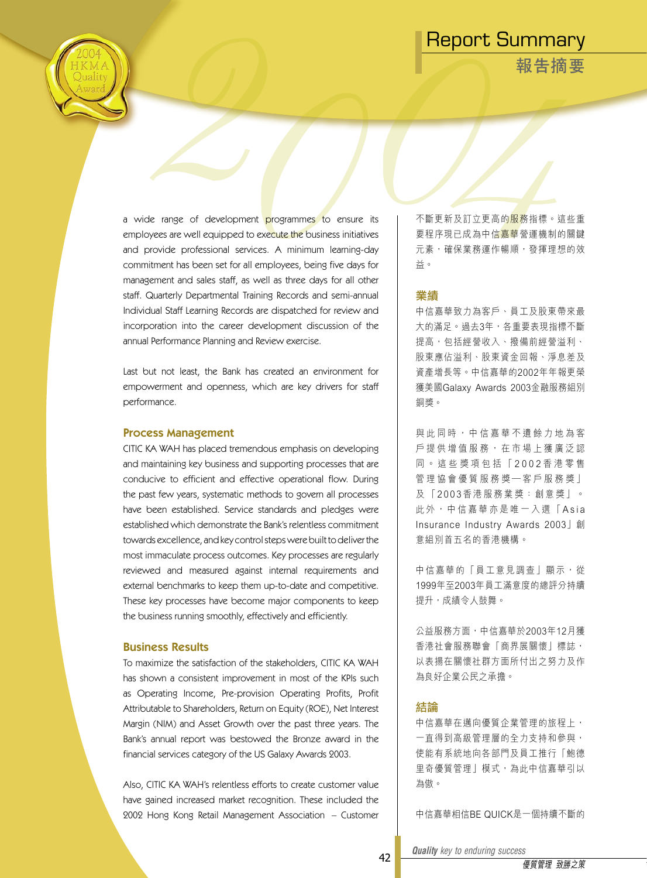**報告摘要**

a wide range of development programmes to ensure its employees are well equipped to execute the business initiatives and provide professional services. A minimum learning-day commitment has been set for all employees, being five days for management and sales staff, as well as three days for all other staff. Quarterly Departmental Training Records and semi-annual Individual Staff Learning Records are dispatched for review and incorporation into the career development discussion of the annual Performance Planning and Review exercise.

Last but not least, the Bank has created an environment for empowerment and openness, which are key drivers for staff performance.

#### Process Management

CITIC KA WAH has placed tremendous emphasis on developing and maintaining key business and supporting processes that are conducive to efficient and effective operational flow. During the past few years, systematic methods to govern all processes have been established. Service standards and pledges were established which demonstrate the Bank's relentless commitment towards excellence, and key control steps were built to deliver the most immaculate process outcomes. Key processes are regularly reviewed and measured against internal requirements and external benchmarks to keep them up-to-date and competitive. These key processes have become major components to keep the business running smoothly, effectively and efficiently.

#### Business Results

To maximize the satisfaction of the stakeholders, CITIC KA WAH has shown a consistent improvement in most of the KPIs such as Operating Income, Pre-provision Operating Profits, Profit Attributable to Shareholders, Return on Equity (ROE), Net Interest Margin (NIM) and Asset Growth over the past three years. The Bank's annual report was bestowed the Bronze award in the financial services category of the US Galaxy Awards 2003.

Also, CITIC KA WAH's relentless efforts to create customer value have gained increased market recognition. These included the 2002 Hong Kong Retail Management Association - Customer

不斷更新及訂立更高的服務指標。這些重 要程序現已成為中信嘉華營運機制的關鍵 元素,確保業務運作暢順,發揮理想的效 益。

#### 業績

中信嘉華致力為客戶、員工及股東帶來最 大的滿足。過去3年,各重要表現指標不斷 提高,包括經營收入、撥備前經營溢利、 股東應佔溢利、股東資金回報、淨息差及 資產增長等。中信嘉華的2002年年報更榮 獲美國Galaxy Awards 2003金融服務組別 銅獎。

與 此 同 時 , 中 信 嘉 華 不 遺 餘 力 地 為 客 戶 提 供 增 值 服 務 , 在 市 場 上 獲 廣 泛 認 同 。 這 些 獎 項 包 括 「 2 0 0 2 香 港 零 售 管理協會優質服務獎一客戶服務獎」 及 「 2 0 0 3 香 港 服 務 業 獎 : 創 意 獎 」 。 此外,中信嘉華亦是唯一入選「Asia Insurance Industry Awards 2003」創 意組別首五名的香港機構。

中信嘉華的「員工意見調查」顯示, 從 1999年至2003年員工滿意度的總評分持續 提升,成績令人鼓舞。

公益服務方面,中信嘉華於2003年12月獲 香港社會服務聯會「商界展關懷」標誌, 以表揚在關懷社群方面所付出之努力及作 為良好企業公民之承擔。

#### 結論

中信嘉華在邁向優質企業管理的旅程上, 一直得到高級管理層的全力支持和參與, 使能有系統地向各部門及員工推行「鮑德 里奇優質管理」模式,為此中信嘉華引以 為傲。

中信嘉華相信BE QUICK是一個持續不斷的